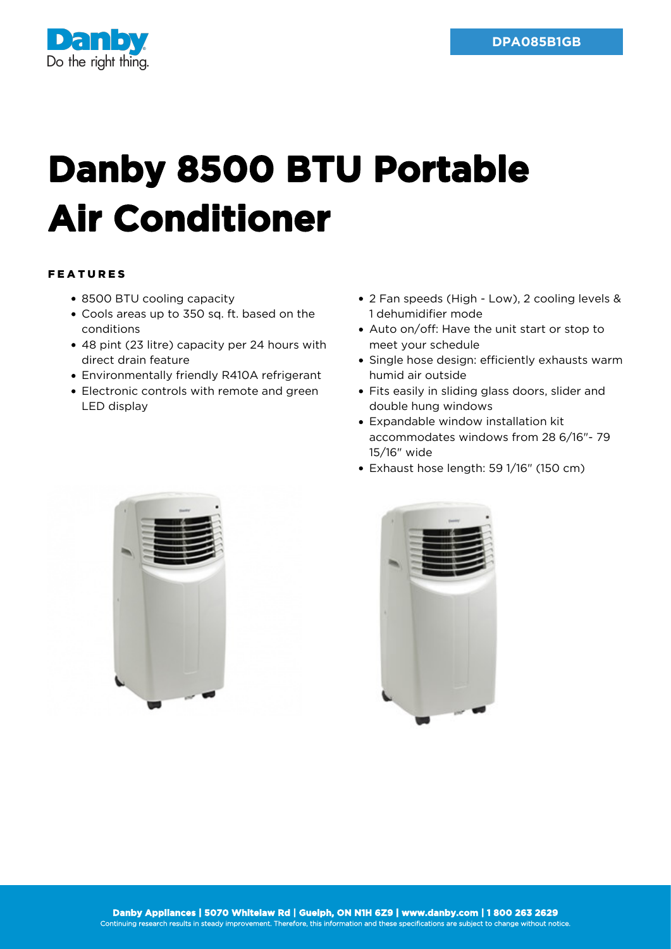

## **Danby 8500 BTU Portable Air Conditioner**

## FEATURES

- 8500 BTU cooling capacity
- Cools areas up to 350 sq. ft. based on the conditions
- 48 pint (23 litre) capacity per 24 hours with direct drain feature
- Environmentally friendly R410A refrigerant
- Electronic controls with remote and green LED display
- 2 Fan speeds (High Low), 2 cooling levels & 1 dehumidifier mode
- Auto on/off: Have the unit start or stop to meet your schedule
- Single hose design: efficiently exhausts warm humid air outside
- Fits easily in sliding glass doors, slider and double hung windows
- Expandable window installation kit accommodates windows from 28 6/16"- 79 15/16" wide
- Exhaust hose length: 59 1/16" (150 cm)